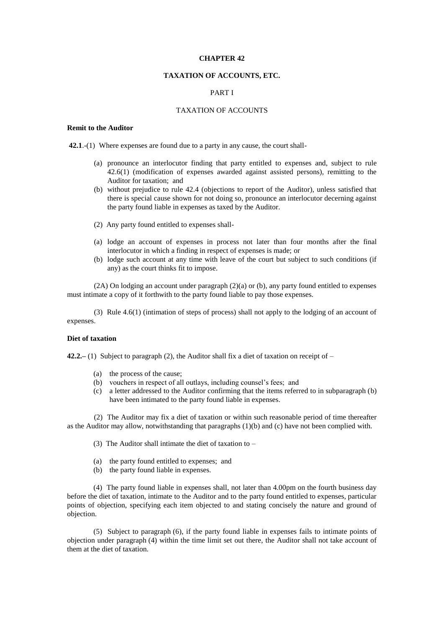#### **CHAPTER 42**

## **TAXATION OF ACCOUNTS, ETC.**

# PART I

## TAXATION OF ACCOUNTS

### **Remit to the Auditor**

**42.1**.-(1) Where expenses are found due to a party in any cause, the court shall-

- (a) pronounce an interlocutor finding that party entitled to expenses and, subject to rule 42.6(1) (modification of expenses awarded against assisted persons), remitting to the Auditor for taxation; and
- (b) without prejudice to rule 42.4 (objections to report of the Auditor), unless satisfied that there is special cause shown for not doing so, pronounce an interlocutor decerning against the party found liable in expenses as taxed by the Auditor.
- (2) Any party found entitled to expenses shall-
- (a) lodge an account of expenses in process not later than four months after the final interlocutor in which a finding in respect of expenses is made; or
- (b) lodge such account at any time with leave of the court but subject to such conditions (if any) as the court thinks fit to impose.

(2A) On lodging an account under paragraph (2)(a) or (b), any party found entitled to expenses must intimate a copy of it forthwith to the party found liable to pay those expenses.

(3) Rule 4.6(1) (intimation of steps of process) shall not apply to the lodging of an account of expenses.

## **Diet of taxation**

**42.2.–** (1) Subject to paragraph (2), the Auditor shall fix a diet of taxation on receipt of –

- (a) the process of the cause;
- (b) vouchers in respect of all outlays, including counsel's fees; and
- (c) a letter addressed to the Auditor confirming that the items referred to in subparagraph (b) have been intimated to the party found liable in expenses.

(2) The Auditor may fix a diet of taxation or within such reasonable period of time thereafter as the Auditor may allow, notwithstanding that paragraphs (1)(b) and (c) have not been complied with.

- (3) The Auditor shall intimate the diet of taxation to  $-$
- (a) the party found entitled to expenses; and
- (b) the party found liable in expenses.

(4) The party found liable in expenses shall, not later than 4.00pm on the fourth business day before the diet of taxation, intimate to the Auditor and to the party found entitled to expenses, particular points of objection, specifying each item objected to and stating concisely the nature and ground of objection.

(5) Subject to paragraph (6), if the party found liable in expenses fails to intimate points of objection under paragraph (4) within the time limit set out there, the Auditor shall not take account of them at the diet of taxation.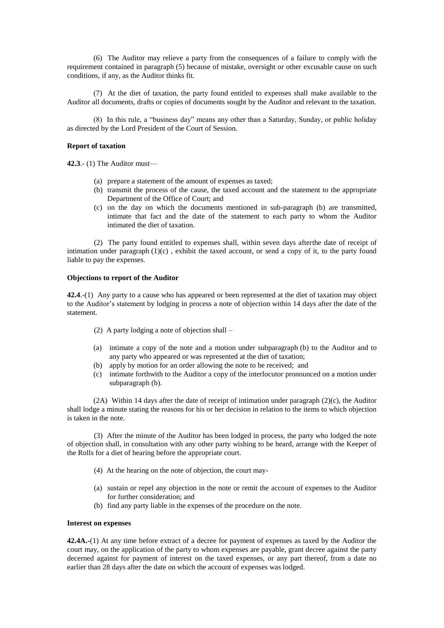(6) The Auditor may relieve a party from the consequences of a failure to comply with the requirement contained in paragraph (5) because of mistake, oversight or other excusable cause on such conditions, if any, as the Auditor thinks fit.

(7) At the diet of taxation, the party found entitled to expenses shall make available to the Auditor all documents, drafts or copies of documents sought by the Auditor and relevant to the taxation.

(8) In this rule, a "business day" means any other than a Saturday, Sunday, or public holiday as directed by the Lord President of the Court of Session.

#### **Report of taxation**

**42.3**.- (1) The Auditor must—

- (a) prepare a statement of the amount of expenses as taxed;
- (b) transmit the process of the cause, the taxed account and the statement to the appropriate Department of the Office of Court; and
- (c) on the day on which the documents mentioned in sub-paragraph (b) are transmitted, intimate that fact and the date of the statement to each party to whom the Auditor intimated the diet of taxation.

(2) The party found entitled to expenses shall, within seven days afterthe date of receipt of intimation under paragraph  $(1)(c)$ , exhibit the taxed account, or send a copy of it, to the party found liable to pay the expenses.

#### **Objections to report of the Auditor**

**42.4**.-(1) Any party to a cause who has appeared or been represented at the diet of taxation may object to the Auditor's statement by lodging in process a note of objection within 14 days after the date of the statement.

- (2) A party lodging a note of objection shall –
- (a) intimate a copy of the note and a motion under subparagraph (b) to the Auditor and to any party who appeared or was represented at the diet of taxation;
- (b) apply by motion for an order allowing the note to be received; and
- (c) intimate forthwith to the Auditor a copy of the interlocutor pronounced on a motion under subparagraph (b).

(2A) Within 14 days after the date of receipt of intimation under paragraph (2)(c), the Auditor shall lodge a minute stating the reasons for his or her decision in relation to the items to which objection is taken in the note.

(3) After the minute of the Auditor has been lodged in process, the party who lodged the note of objection shall, in consultation with any other party wishing to be heard, arrange with the Keeper of the Rolls for a diet of hearing before the appropriate court.

- (4) At the hearing on the note of objection, the court may-
- (a) sustain or repel any objection in the note or remit the account of expenses to the Auditor for further consideration; and
- (b) find any party liable in the expenses of the procedure on the note.

#### **Interest on expenses**

**42.4A.-**(1) At any time before extract of a decree for payment of expenses as taxed by the Auditor the court may, on the application of the party to whom expenses are payable, grant decree against the party decerned against for payment of interest on the taxed expenses, or any part thereof, from a date no earlier than 28 days after the date on which the account of expenses was lodged.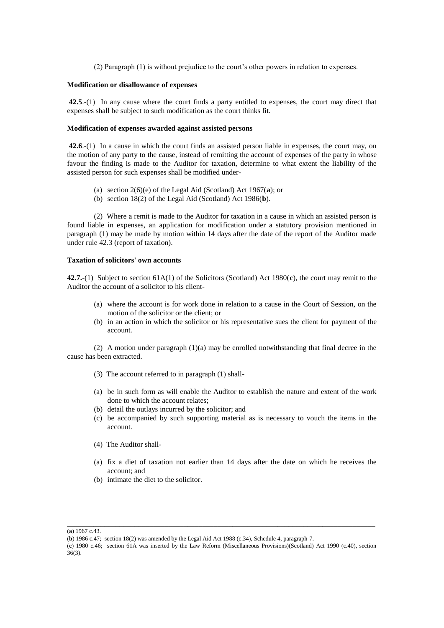(2) Paragraph (1) is without prejudice to the court's other powers in relation to expenses.

### **Modification or disallowance of expenses**

**42.5**.-(1) In any cause where the court finds a party entitled to expenses, the court may direct that expenses shall be subject to such modification as the court thinks fit.

### **Modification of expenses awarded against assisted persons**

**42.6**.-(1) In a cause in which the court finds an assisted person liable in expenses, the court may, on the motion of any party to the cause, instead of remitting the account of expenses of the party in whose favour the finding is made to the Auditor for taxation, determine to what extent the liability of the assisted person for such expenses shall be modified under-

- (a) section 2(6)(e) of the Legal Aid (Scotland) Act 1967(**a**); or
- (b) section 18(2) of the Legal Aid (Scotland) Act 1986(**b**).

(2) Where a remit is made to the Auditor for taxation in a cause in which an assisted person is found liable in expenses, an application for modification under a statutory provision mentioned in paragraph (1) may be made by motion within 14 days after the date of the report of the Auditor made under rule 42.3 (report of taxation).

## **Taxation of solicitors' own accounts**

**42.7.**-(1) Subject to section 61A(1) of the Solicitors (Scotland) Act 1980(**c**), the court may remit to the Auditor the account of a solicitor to his client-

- (a) where the account is for work done in relation to a cause in the Court of Session, on the motion of the solicitor or the client; or
- (b) in an action in which the solicitor or his representative sues the client for payment of the account.

(2) A motion under paragraph  $(1)(a)$  may be enrolled notwithstanding that final decree in the cause has been extracted.

- (3) The account referred to in paragraph (1) shall-
- (a) be in such form as will enable the Auditor to establish the nature and extent of the work done to which the account relates;
- (b) detail the outlays incurred by the solicitor; and
- (c) be accompanied by such supporting material as is necessary to vouch the items in the account.
- (4) The Auditor shall-
- (a) fix a diet of taxation not earlier than 14 days after the date on which he receives the account; and
- (b) intimate the diet to the solicitor.

\_\_\_\_\_\_\_\_\_\_\_\_\_\_\_\_\_\_\_\_\_\_\_\_\_\_\_\_\_\_\_\_\_\_\_\_\_\_\_\_\_\_\_\_\_\_\_\_\_\_\_\_\_\_\_\_\_\_\_\_\_\_\_\_\_\_\_\_\_\_\_\_\_\_\_\_\_\_\_\_\_\_

<sup>(</sup>**a**) 1967 c.43.

<sup>(</sup>**b**) 1986 c.47; section 18(2) was amended by the Legal Aid Act 1988 (c.34), Schedule 4, paragraph 7.

<sup>(</sup>**c**) 1980 c.46; section 61A was inserted by the Law Reform (Miscellaneous Provisions)(Scotland) Act 1990 (c.40), section 36(3).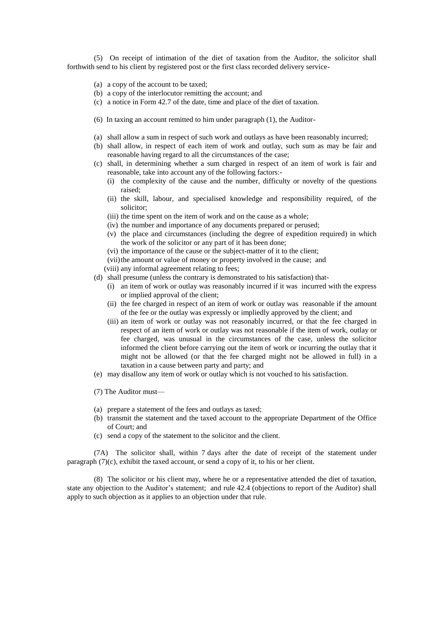(5) On receipt of intimation of the diet of taxation from the Auditor, the solicitor shall forthwith send to his client by registered post or the first class recorded delivery service-

- (a) a copy of the account to be taxed;
- (b) a copy of the interlocutor remitting the account; and
- (c) a notice in Form 42.7 of the date, time and place of the diet of taxation.
- (6) In taxing an account remitted to him under paragraph (1), the Auditor-
- (a) shall allow a sum in respect of such work and outlays as have been reasonably incurred;
- (b) shall allow, in respect of each item of work and outlay, such sum as may be fair and reasonable having regard to all the circumstances of the case;
- (c) shall, in determining whether a sum charged in respect of an item of work is fair and reasonable, take into account any of the following factors:-
	- (i) the complexity of the cause and the number, difficulty or novelty of the questions raised;
	- (ii) the skill, labour, and specialised knowledge and responsibility required, of the solicitor;
	- (iii) the time spent on the item of work and on the cause as a whole;
	- (iv) the number and importance of any documents prepared or perused;
	- (v) the place and circumstances (including the degree of expedition required) in which the work of the solicitor or any part of it has been done;
	- (vi) the importance of the cause or the subject-matter of it to the client;
	- (vii) the amount or value of money or property involved in the cause; and
	- (viii) any informal agreement relating to fees;
- (d) shall presume (unless the contrary is demonstrated to his satisfaction) that-
	- (i) an item of work or outlay was reasonably incurred if it was incurred with the express or implied approval of the client;
	- (ii) the fee charged in respect of an item of work or outlay was reasonable if the amount of the fee or the outlay was expressly or impliedly approved by the client; and
	- (iii) an item of work or outlay was not reasonably incurred, or that the fee charged in respect of an item of work or outlay was not reasonable if the item of work, outlay or fee charged, was unusual in the circumstances of the case, unless the solicitor informed the client before carrying out the item of work or incurring the outlay that it might not be allowed (or that the fee charged might not be allowed in full) in a taxation in a cause between party and party; and
- (e) may disallow any item of work or outlay which is not vouched to his satisfaction.
- (7) The Auditor must—
- (a) prepare a statement of the fees and outlays as taxed;
- (b) transmit the statement and the taxed account to the appropriate Department of the Office of Court; and
- (c) send a copy of the statement to the solicitor and the client.

(7A) The solicitor shall, within 7 days after the date of receipt of the statement under paragraph (7)(c), exhibit the taxed account, or send a copy of it, to his or her client.

(8) The solicitor or his client may, where he or a representative attended the diet of taxation, state any objection to the Auditor's statement; and rule 42.4 (objections to report of the Auditor) shall apply to such objection as it applies to an objection under that rule.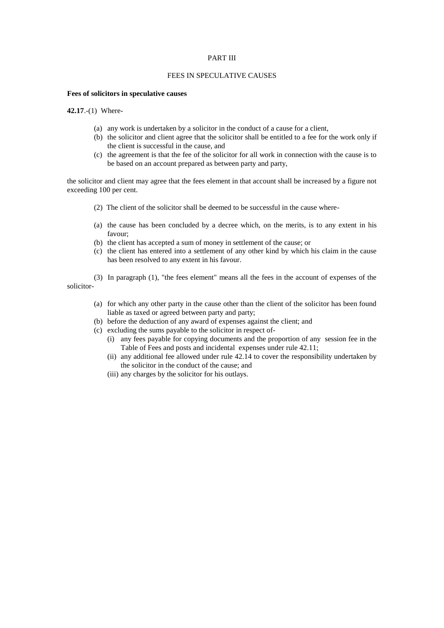### PART III

## FEES IN SPECULATIVE CAUSES

### **Fees of solicitors in speculative causes**

**42.17**.-(1) Where-

- (a) any work is undertaken by a solicitor in the conduct of a cause for a client,
- (b) the solicitor and client agree that the solicitor shall be entitled to a fee for the work only if the client is successful in the cause, and
- (c) the agreement is that the fee of the solicitor for all work in connection with the cause is to be based on an account prepared as between party and party,

the solicitor and client may agree that the fees element in that account shall be increased by a figure not exceeding 100 per cent.

- (2) The client of the solicitor shall be deemed to be successful in the cause where-
- (a) the cause has been concluded by a decree which, on the merits, is to any extent in his favour;
- (b) the client has accepted a sum of money in settlement of the cause; or
- (c) the client has entered into a settlement of any other kind by which his claim in the cause has been resolved to any extent in his favour.

(3) In paragraph (1), "the fees element" means all the fees in the account of expenses of the solicitor-

- (a) for which any other party in the cause other than the client of the solicitor has been found liable as taxed or agreed between party and party;
- (b) before the deduction of any award of expenses against the client; and
- (c) excluding the sums payable to the solicitor in respect of-
	- (i) any fees payable for copying documents and the proportion of any session fee in the Table of Fees and posts and incidental expenses under rule 42.11;
	- (ii) any additional fee allowed under rule 42.14 to cover the responsibility undertaken by the solicitor in the conduct of the cause; and
	- (iii) any charges by the solicitor for his outlays.